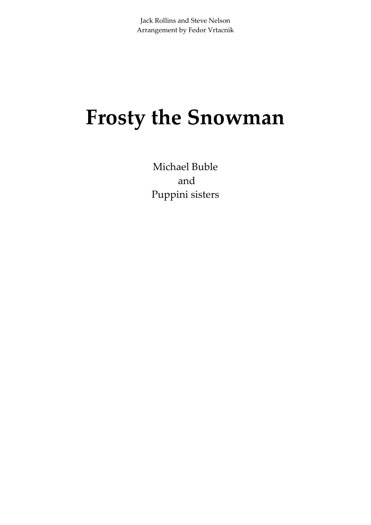## **Frosty the Snowman**

Michael Buble and Puppini sisters

Jack Rollins and Steve Nelson Arrangement by Fedor Vrtacnik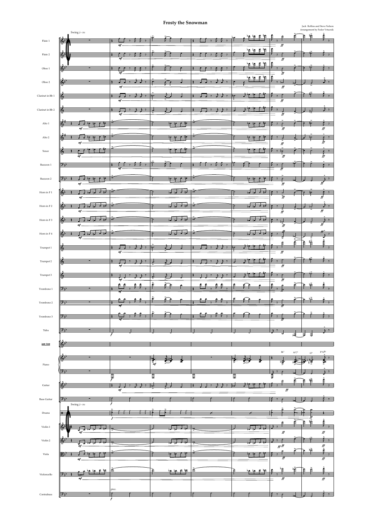|                        |                  | Swing $J\text{=}150$ |                              |                    |                          |                                                      |                                                         |                  |                                              |                          |                                      | $\tilde{\mathbb{F}}$<br>È<br>₽    | $\hat{\ddagger}$              |
|------------------------|------------------|----------------------|------------------------------|--------------------|--------------------------|------------------------------------------------------|---------------------------------------------------------|------------------|----------------------------------------------|--------------------------|--------------------------------------|-----------------------------------|-------------------------------|
| Flute 1                | Ģ                |                      |                              |                    |                          |                                                      |                                                         |                  |                                              |                          |                                      |                                   |                               |
|                        |                  |                      | mf                           |                    |                          |                                                      |                                                         |                  |                                              |                          | $f\!f$                               |                                   |                               |
| Flute 2                | $\mathbb{S}^5$   |                      |                              |                    |                          |                                                      |                                                         |                  | ے و<br>١r                                    | 忙<br>$\epsilon$          | ₿                                    |                                   |                               |
|                        |                  |                      | m                            |                    |                          |                                                      |                                                         |                  |                                              |                          | ff                                   |                                   |                               |
|                        |                  |                      |                              |                    |                          |                                                      |                                                         |                  | 年毕 丰竿                                        |                          | €                                    |                                   |                               |
| Oboe $1\,$             | (৯º              |                      | mf                           |                    |                          |                                                      |                                                         |                  |                                              |                          | ff                                   |                                   |                               |
|                        |                  |                      |                              |                    |                          |                                                      |                                                         |                  | Þ∱<br>怿                                      | 手笔                       | $\triangleq$                         |                                   |                               |
| Oboe $2\,$             | ∞                |                      |                              |                    |                          |                                                      |                                                         |                  |                                              |                          | ¥<br>$\overline{b}$                  |                                   |                               |
|                        |                  |                      | mf                           |                    |                          |                                                      |                                                         |                  |                                              |                          | $f\!f$                               |                                   |                               |
| Clarinet in Bb $1\,$   | m                |                      |                              |                    | P.                       |                                                      |                                                         |                  |                                              |                          |                                      |                                   |                               |
|                        |                  |                      | mf                           |                    |                          |                                                      |                                                         |                  |                                              |                          | $f\!f$                               |                                   |                               |
| Clarinet in $\rm Bb$ 2 | 6                |                      |                              |                    |                          |                                                      |                                                         |                  |                                              |                          |                                      |                                   |                               |
|                        |                  |                      | mf                           |                    |                          |                                                      |                                                         |                  |                                              |                          | ff                                   |                                   |                               |
|                        |                  |                      |                              |                    |                          |                                                      |                                                         |                  |                                              |                          |                                      |                                   |                               |
| Alto $1\,$             | Ð                |                      |                              |                    |                          | ₩<br>ř                                               |                                                         |                  |                                              | ≠                        | $f\!f$                               |                                   | Ç.                            |
|                        |                  |                      |                              |                    |                          |                                                      |                                                         |                  |                                              |                          |                                      |                                   | ff                            |
| Alto 2                 |                  |                      |                              |                    |                          | T.<br>۰o                                             | $\bullet$                                               |                  |                                              |                          |                                      |                                   | $\frac{\partial}{\partial f}$ |
|                        |                  |                      |                              |                    |                          |                                                      |                                                         |                  |                                              |                          | ff                                   |                                   |                               |
| Tenor                  | ভে               |                      |                              |                    |                          |                                                      |                                                         |                  |                                              |                          | Þ                                    |                                   | $\overline{\epsilon}$         |
|                        |                  | mf                   |                              |                    |                          |                                                      |                                                         |                  |                                              |                          | $f\!f$                               |                                   | $_{\it ff}^{\rm V}$           |
| Bassoon $1\,$          | <del>י, (</del>  |                      |                              |                    |                          |                                                      |                                                         |                  |                                              |                          |                                      |                                   | ÷<br>$\overline{y}$           |
|                        |                  |                      | m                            |                    |                          |                                                      |                                                         |                  |                                              |                          | ff                                   |                                   |                               |
|                        |                  |                      |                              |                    |                          |                                                      |                                                         |                  |                                              |                          |                                      |                                   |                               |
| Bassoon 2              | $9\frac{1}{2}$   |                      |                              |                    |                          |                                                      |                                                         |                  |                                              |                          |                                      |                                   |                               |
|                        |                  | mf                   |                              |                    |                          |                                                      |                                                         |                  |                                              |                          | ff                                   |                                   | ff                            |
| Horn in F $1\,$        | ᢛ                |                      | o                            |                    | Ď                        | $\overline{a}$                                       | ú                                                       |                  | $\overline{2}$                               | ┵┇┵                      | d                                    |                                   |                               |
|                        |                  |                      |                              |                    |                          |                                                      |                                                         |                  |                                              |                          | $\overline{\hat{f}}$                 |                                   | ff                            |
| Horn in F $2\,$        | ଚ                |                      | ᢦ                            |                    | D                        | $\overline{\phantom{a}}$<br>$\overline{\phantom{a}}$ | ≐ত                                                      | o                | $\overline{a}$ $\overline{a}$ $\overline{a}$ |                          | $\overline{\phantom{a}}$             | z                                 | $\rightarrow$ 7               |
|                        |                  |                      |                              |                    |                          |                                                      |                                                         |                  |                                              |                          | $\tilde{f}$                          |                                   | $\overline{f}$                |
|                        |                  |                      | ๔                            |                    |                          |                                                      |                                                         |                  |                                              |                          |                                      |                                   |                               |
| Horn in F $3$          | ∾                | mf                   |                              |                    | ò                        | $\overline{\phantom{a}}$                             | $\frac{1}{2}$ $\frac{1}{2}$ $\frac{1}{2}$ $\frac{1}{2}$ |                  | الموار أمرا                                  | $\overline{\phantom{a}}$ | $5^{\circ}$<br>$\tilde{f}$           |                                   | ╈<br>$f\bar{f}$               |
|                        |                  |                      |                              |                    |                          |                                                      |                                                         |                  |                                              |                          |                                      |                                   |                               |
| Horn in F $4\,$        |                  |                      |                              |                    |                          |                                                      |                                                         |                  |                                              |                          |                                      |                                   |                               |
|                        |                  | mf                   |                              |                    |                          |                                                      |                                                         |                  |                                              |                          | Ê                                    | 憧<br>$\hat{F}$                    |                               |
| Trumpet 1              |                  |                      |                              |                    |                          |                                                      |                                                         |                  |                                              |                          |                                      |                                   |                               |
|                        |                  |                      | mf                           |                    |                          |                                                      |                                                         |                  |                                              |                          | $\overline{\mathbf{f}^{\mathbf{f}}}$ |                                   |                               |
| Trumpet 2              |                  |                      |                              |                    |                          |                                                      |                                                         |                  |                                              |                          |                                      |                                   |                               |
|                        |                  |                      |                              |                    |                          |                                                      |                                                         |                  |                                              |                          | $f\!f$                               |                                   |                               |
|                        |                  |                      |                              |                    |                          |                                                      |                                                         |                  |                                              |                          |                                      |                                   |                               |
| Trumpet 3              |                  |                      | mf                           |                    |                          |                                                      |                                                         |                  |                                              |                          | ff                                   |                                   |                               |
|                        |                  |                      |                              | $\frac{6}{5}$<br>6 | è                        | $\tilde{f}$<br>₽                                     |                                                         | م                |                                              |                          |                                      | $\frac{1}{2}$<br>₽                |                               |
| Trombone 1             | ゾマ               |                      |                              |                    |                          |                                                      |                                                         |                  |                                              |                          |                                      |                                   |                               |
|                        |                  |                      |                              |                    | ŕ                        |                                                      |                                                         |                  |                                              |                          |                                      |                                   |                               |
| $\mbox{Trombone}\;2$   | י≓י              |                      |                              |                    |                          |                                                      |                                                         |                  |                                              |                          |                                      |                                   |                               |
|                        |                  |                      |                              |                    |                          |                                                      |                                                         |                  |                                              |                          |                                      |                                   |                               |
| Trombone 3             | 六                |                      |                              |                    |                          |                                                      |                                                         |                  |                                              |                          |                                      |                                   |                               |
|                        |                  |                      |                              |                    |                          |                                                      |                                                         |                  |                                              |                          |                                      |                                   |                               |
|                        |                  |                      |                              |                    |                          |                                                      |                                                         |                  |                                              |                          |                                      |                                   |                               |
| Tuba                   | <del>) - 1</del> |                      |                              |                    |                          |                                                      |                                                         |                  |                                              |                          |                                      | £.<br>킁<br>₹                      | $\overline{\phantom{1}}$      |
|                        |                  |                      |                              |                    |                          |                                                      |                                                         |                  |                                              |                          |                                      |                                   |                               |
| LEAD VOICE             |                  |                      |                              |                    |                          |                                                      |                                                         |                  |                                              |                          |                                      |                                   |                               |
|                        |                  |                      |                              |                    |                          |                                                      |                                                         |                  |                                              |                          | $\mathbf{B} \flat^7$                 | $Ab^7/9$<br>$\mathbf{G}^\text{o}$ | ${\rm F6/4^{15}}$             |
|                        | m                |                      |                              |                    |                          |                                                      |                                                         |                  |                                              |                          |                                      |                                   |                               |
| Piano                  |                  |                      |                              |                    | ng<br>mf                 |                                                      |                                                         |                  |                                              |                          | 净                                    |                                   |                               |
|                        | ליֱל             |                      |                              |                    |                          |                                                      |                                                         |                  |                                              |                          |                                      |                                   |                               |
|                        |                  |                      | $\frac{1}{\tilde{\epsilon}}$ |                    | $\frac{1}{\overline{6}}$ |                                                      | $\frac{1}{\overline{2}}$                                | $\frac{1}{\Phi}$ |                                              |                          |                                      |                                   |                               |
|                        |                  |                      |                              |                    |                          |                                                      |                                                         |                  |                                              |                          | £                                    | 慞<br>E                            |                               |
| $\rm Guitar$           | 6                |                      | $\it mf$                     |                    | $\overline{\phantom{a}}$ |                                                      |                                                         |                  |                                              |                          | $\overline{\mathbf{f}\mathbf{f}}$    |                                   |                               |
|                        |                  |                      |                              |                    |                          |                                                      |                                                         |                  |                                              |                          |                                      |                                   |                               |



## **Frosty the Snowman**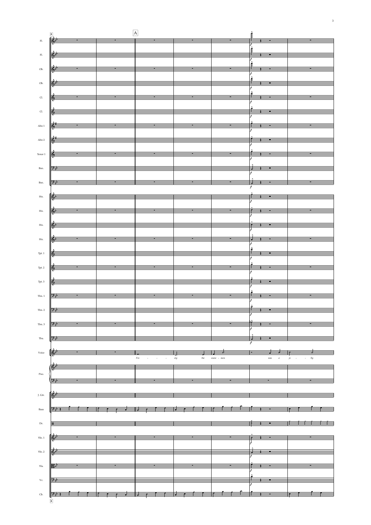



3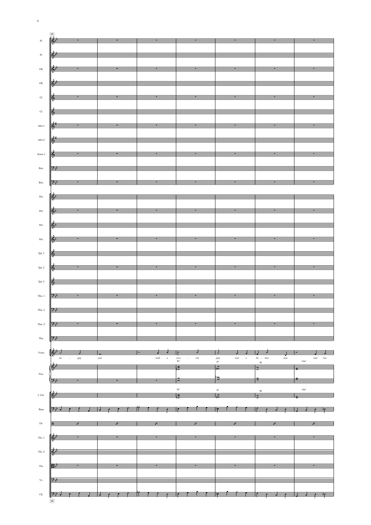|                             | 15                                                                                                                                                                                                                                                                                                                  |                                                                                                                                                                                                                                                                                                                                                                       |                                                                                                                                                                                                                                                    |                                                                                                                                                                                                                                                                                                                                      |                                                                       |                                                                                                                                                                                                                                                                                               |                        |
|-----------------------------|---------------------------------------------------------------------------------------------------------------------------------------------------------------------------------------------------------------------------------------------------------------------------------------------------------------------|-----------------------------------------------------------------------------------------------------------------------------------------------------------------------------------------------------------------------------------------------------------------------------------------------------------------------------------------------------------------------|----------------------------------------------------------------------------------------------------------------------------------------------------------------------------------------------------------------------------------------------------|--------------------------------------------------------------------------------------------------------------------------------------------------------------------------------------------------------------------------------------------------------------------------------------------------------------------------------------|-----------------------------------------------------------------------|-----------------------------------------------------------------------------------------------------------------------------------------------------------------------------------------------------------------------------------------------------------------------------------------------|------------------------|
| $\mathop{\rm Fl}\nolimits.$ |                                                                                                                                                                                                                                                                                                                     |                                                                                                                                                                                                                                                                                                                                                                       |                                                                                                                                                                                                                                                    |                                                                                                                                                                                                                                                                                                                                      |                                                                       |                                                                                                                                                                                                                                                                                               |                        |
|                             |                                                                                                                                                                                                                                                                                                                     |                                                                                                                                                                                                                                                                                                                                                                       |                                                                                                                                                                                                                                                    |                                                                                                                                                                                                                                                                                                                                      |                                                                       |                                                                                                                                                                                                                                                                                               |                        |
|                             |                                                                                                                                                                                                                                                                                                                     |                                                                                                                                                                                                                                                                                                                                                                       |                                                                                                                                                                                                                                                    |                                                                                                                                                                                                                                                                                                                                      |                                                                       |                                                                                                                                                                                                                                                                                               |                        |
| $\rm{Fl.}$                  |                                                                                                                                                                                                                                                                                                                     |                                                                                                                                                                                                                                                                                                                                                                       | $\overline{\langle \phi \rangle}$ . The contract of the contract of the contract of the contract of the contract of the contract of the contract of the contract of the contract of the contract of the contract of the contract of the contract o |                                                                                                                                                                                                                                                                                                                                      |                                                                       |                                                                                                                                                                                                                                                                                               |                        |
|                             |                                                                                                                                                                                                                                                                                                                     |                                                                                                                                                                                                                                                                                                                                                                       |                                                                                                                                                                                                                                                    |                                                                                                                                                                                                                                                                                                                                      |                                                                       |                                                                                                                                                                                                                                                                                               |                        |
|                             |                                                                                                                                                                                                                                                                                                                     |                                                                                                                                                                                                                                                                                                                                                                       |                                                                                                                                                                                                                                                    |                                                                                                                                                                                                                                                                                                                                      |                                                                       |                                                                                                                                                                                                                                                                                               |                        |
| Ob.                         |                                                                                                                                                                                                                                                                                                                     |                                                                                                                                                                                                                                                                                                                                                                       | $\frac{1}{\binom{n}{2}}$                                                                                                                                                                                                                           |                                                                                                                                                                                                                                                                                                                                      |                                                                       |                                                                                                                                                                                                                                                                                               |                        |
|                             |                                                                                                                                                                                                                                                                                                                     |                                                                                                                                                                                                                                                                                                                                                                       |                                                                                                                                                                                                                                                    |                                                                                                                                                                                                                                                                                                                                      |                                                                       |                                                                                                                                                                                                                                                                                               |                        |
| Ob.                         |                                                                                                                                                                                                                                                                                                                     |                                                                                                                                                                                                                                                                                                                                                                       |                                                                                                                                                                                                                                                    | $\frac{1}{\sqrt{2}}$                                                                                                                                                                                                                                                                                                                 |                                                                       |                                                                                                                                                                                                                                                                                               |                        |
|                             |                                                                                                                                                                                                                                                                                                                     |                                                                                                                                                                                                                                                                                                                                                                       |                                                                                                                                                                                                                                                    |                                                                                                                                                                                                                                                                                                                                      |                                                                       |                                                                                                                                                                                                                                                                                               |                        |
|                             |                                                                                                                                                                                                                                                                                                                     |                                                                                                                                                                                                                                                                                                                                                                       |                                                                                                                                                                                                                                                    |                                                                                                                                                                                                                                                                                                                                      |                                                                       |                                                                                                                                                                                                                                                                                               |                        |
| Cl.                         |                                                                                                                                                                                                                                                                                                                     |                                                                                                                                                                                                                                                                                                                                                                       |                                                                                                                                                                                                                                                    | $\frac{1}{\sqrt{2}}$ and $\frac{1}{\sqrt{2}}$ and $\frac{1}{\sqrt{2}}$ and $\frac{1}{\sqrt{2}}$ and $\frac{1}{\sqrt{2}}$ and $\frac{1}{\sqrt{2}}$ and $\frac{1}{\sqrt{2}}$ and $\frac{1}{\sqrt{2}}$ and $\frac{1}{\sqrt{2}}$ and $\frac{1}{\sqrt{2}}$ and $\frac{1}{\sqrt{2}}$ and $\frac{1}{\sqrt{2}}$ and $\frac{1}{\sqrt{2}}$ and |                                                                       |                                                                                                                                                                                                                                                                                               |                        |
|                             |                                                                                                                                                                                                                                                                                                                     |                                                                                                                                                                                                                                                                                                                                                                       |                                                                                                                                                                                                                                                    |                                                                                                                                                                                                                                                                                                                                      |                                                                       |                                                                                                                                                                                                                                                                                               |                        |
|                             |                                                                                                                                                                                                                                                                                                                     |                                                                                                                                                                                                                                                                                                                                                                       |                                                                                                                                                                                                                                                    |                                                                                                                                                                                                                                                                                                                                      |                                                                       |                                                                                                                                                                                                                                                                                               |                        |
| $\mathop{\rm Cl}\nolimits.$ |                                                                                                                                                                                                                                                                                                                     |                                                                                                                                                                                                                                                                                                                                                                       |                                                                                                                                                                                                                                                    | $\frac{1}{2}$ and $\frac{1}{2}$ and $\frac{1}{2}$ and $\frac{1}{2}$ and $\frac{1}{2}$ and $\frac{1}{2}$ and $\frac{1}{2}$ and $\frac{1}{2}$ and $\frac{1}{2}$ and $\frac{1}{2}$ and $\frac{1}{2}$ and $\frac{1}{2}$ and $\frac{1}{2}$ and $\frac{1}{2}$ and $\frac{1}{2}$ and $\frac{1}{2}$ a                                        |                                                                       |                                                                                                                                                                                                                                                                                               |                        |
|                             |                                                                                                                                                                                                                                                                                                                     |                                                                                                                                                                                                                                                                                                                                                                       |                                                                                                                                                                                                                                                    |                                                                                                                                                                                                                                                                                                                                      |                                                                       |                                                                                                                                                                                                                                                                                               |                        |
| Alto $1$                    |                                                                                                                                                                                                                                                                                                                     |                                                                                                                                                                                                                                                                                                                                                                       |                                                                                                                                                                                                                                                    | $\frac{1}{\sqrt{2}}$                                                                                                                                                                                                                                                                                                                 |                                                                       |                                                                                                                                                                                                                                                                                               |                        |
|                             |                                                                                                                                                                                                                                                                                                                     |                                                                                                                                                                                                                                                                                                                                                                       |                                                                                                                                                                                                                                                    |                                                                                                                                                                                                                                                                                                                                      |                                                                       |                                                                                                                                                                                                                                                                                               |                        |
|                             |                                                                                                                                                                                                                                                                                                                     |                                                                                                                                                                                                                                                                                                                                                                       |                                                                                                                                                                                                                                                    |                                                                                                                                                                                                                                                                                                                                      |                                                                       |                                                                                                                                                                                                                                                                                               |                        |
| Alto $2$                    |                                                                                                                                                                                                                                                                                                                     |                                                                                                                                                                                                                                                                                                                                                                       |                                                                                                                                                                                                                                                    | $\frac{1}{2}$                                                                                                                                                                                                                                                                                                                        |                                                                       |                                                                                                                                                                                                                                                                                               | <u> Tanzania (</u>     |
|                             |                                                                                                                                                                                                                                                                                                                     |                                                                                                                                                                                                                                                                                                                                                                       |                                                                                                                                                                                                                                                    |                                                                                                                                                                                                                                                                                                                                      |                                                                       |                                                                                                                                                                                                                                                                                               |                        |
|                             |                                                                                                                                                                                                                                                                                                                     |                                                                                                                                                                                                                                                                                                                                                                       |                                                                                                                                                                                                                                                    |                                                                                                                                                                                                                                                                                                                                      |                                                                       |                                                                                                                                                                                                                                                                                               |                        |
| Tenor $1$                   |                                                                                                                                                                                                                                                                                                                     |                                                                                                                                                                                                                                                                                                                                                                       |                                                                                                                                                                                                                                                    | $\frac{1}{2}$ , and the contract of the contract of the contract of the contract of the contract of the contract of the contract of the contract of the contract of the contract of the contract of the contract of the contract                                                                                                     |                                                                       |                                                                                                                                                                                                                                                                                               |                        |
|                             |                                                                                                                                                                                                                                                                                                                     |                                                                                                                                                                                                                                                                                                                                                                       |                                                                                                                                                                                                                                                    |                                                                                                                                                                                                                                                                                                                                      |                                                                       |                                                                                                                                                                                                                                                                                               |                        |
| Bsn.                        |                                                                                                                                                                                                                                                                                                                     |                                                                                                                                                                                                                                                                                                                                                                       |                                                                                                                                                                                                                                                    | <u> La Carlo de Carlo de la Carlo de Carlo de Carlo de Carlo de Carlo de Carlo de Carlo de Carlo de Carlo de Carl</u>                                                                                                                                                                                                                |                                                                       |                                                                                                                                                                                                                                                                                               |                        |
|                             |                                                                                                                                                                                                                                                                                                                     |                                                                                                                                                                                                                                                                                                                                                                       |                                                                                                                                                                                                                                                    |                                                                                                                                                                                                                                                                                                                                      |                                                                       |                                                                                                                                                                                                                                                                                               |                        |
|                             |                                                                                                                                                                                                                                                                                                                     |                                                                                                                                                                                                                                                                                                                                                                       |                                                                                                                                                                                                                                                    |                                                                                                                                                                                                                                                                                                                                      |                                                                       |                                                                                                                                                                                                                                                                                               |                        |
| Bsn.                        | 9.5                                                                                                                                                                                                                                                                                                                 |                                                                                                                                                                                                                                                                                                                                                                       |                                                                                                                                                                                                                                                    |                                                                                                                                                                                                                                                                                                                                      |                                                                       |                                                                                                                                                                                                                                                                                               |                        |
|                             |                                                                                                                                                                                                                                                                                                                     |                                                                                                                                                                                                                                                                                                                                                                       |                                                                                                                                                                                                                                                    |                                                                                                                                                                                                                                                                                                                                      |                                                                       |                                                                                                                                                                                                                                                                                               |                        |
|                             |                                                                                                                                                                                                                                                                                                                     |                                                                                                                                                                                                                                                                                                                                                                       |                                                                                                                                                                                                                                                    |                                                                                                                                                                                                                                                                                                                                      |                                                                       |                                                                                                                                                                                                                                                                                               |                        |
| $\operatorname{Hn.}$        |                                                                                                                                                                                                                                                                                                                     |                                                                                                                                                                                                                                                                                                                                                                       |                                                                                                                                                                                                                                                    | $\mathbb{R}^3$                                                                                                                                                                                                                                                                                                                       |                                                                       |                                                                                                                                                                                                                                                                                               |                        |
|                             |                                                                                                                                                                                                                                                                                                                     |                                                                                                                                                                                                                                                                                                                                                                       |                                                                                                                                                                                                                                                    |                                                                                                                                                                                                                                                                                                                                      |                                                                       |                                                                                                                                                                                                                                                                                               |                        |
| $Hn$ .                      |                                                                                                                                                                                                                                                                                                                     |                                                                                                                                                                                                                                                                                                                                                                       |                                                                                                                                                                                                                                                    | $\frac{d}{dx}$ , and the contract of the contract of the contract of the contract of the contract of the contract of the contract of the contract of the contract of the contract of the contract of the contract of the contract                                                                                                    |                                                                       |                                                                                                                                                                                                                                                                                               |                        |
|                             |                                                                                                                                                                                                                                                                                                                     |                                                                                                                                                                                                                                                                                                                                                                       |                                                                                                                                                                                                                                                    |                                                                                                                                                                                                                                                                                                                                      |                                                                       |                                                                                                                                                                                                                                                                                               |                        |
|                             |                                                                                                                                                                                                                                                                                                                     |                                                                                                                                                                                                                                                                                                                                                                       |                                                                                                                                                                                                                                                    |                                                                                                                                                                                                                                                                                                                                      |                                                                       |                                                                                                                                                                                                                                                                                               |                        |
| $\rm{Hn}.$                  |                                                                                                                                                                                                                                                                                                                     |                                                                                                                                                                                                                                                                                                                                                                       |                                                                                                                                                                                                                                                    | $\frac{1}{\left\langle \phi\right\rangle }$ , and the contract of the contract of the contract of the contract of the contract of the contract of the contract of the contract of the contract of the contract of the contract of the contract of the                                                                                |                                                                       | $\frac{1}{2}$ and $\frac{1}{2}$ and $\frac{1}{2}$ and $\frac{1}{2}$ and $\frac{1}{2}$ and $\frac{1}{2}$ and $\frac{1}{2}$ and $\frac{1}{2}$ and $\frac{1}{2}$ and $\frac{1}{2}$ and $\frac{1}{2}$ and $\frac{1}{2}$ and $\frac{1}{2}$ and $\frac{1}{2}$ and $\frac{1}{2}$ and $\frac{1}{2}$ a |                        |
|                             |                                                                                                                                                                                                                                                                                                                     |                                                                                                                                                                                                                                                                                                                                                                       |                                                                                                                                                                                                                                                    |                                                                                                                                                                                                                                                                                                                                      |                                                                       |                                                                                                                                                                                                                                                                                               |                        |
| Hn.                         |                                                                                                                                                                                                                                                                                                                     |                                                                                                                                                                                                                                                                                                                                                                       |                                                                                                                                                                                                                                                    |                                                                                                                                                                                                                                                                                                                                      |                                                                       |                                                                                                                                                                                                                                                                                               |                        |
|                             |                                                                                                                                                                                                                                                                                                                     |                                                                                                                                                                                                                                                                                                                                                                       |                                                                                                                                                                                                                                                    |                                                                                                                                                                                                                                                                                                                                      |                                                                       |                                                                                                                                                                                                                                                                                               |                        |
|                             |                                                                                                                                                                                                                                                                                                                     |                                                                                                                                                                                                                                                                                                                                                                       |                                                                                                                                                                                                                                                    |                                                                                                                                                                                                                                                                                                                                      |                                                                       |                                                                                                                                                                                                                                                                                               |                        |
| Tpt. 1                      |                                                                                                                                                                                                                                                                                                                     |                                                                                                                                                                                                                                                                                                                                                                       | $\frac{1}{2}$ , and the contract of the contract of the contract of the contract of the contract of the contract of the contract of the contract of the contract of the contract of the contract of the contract of the contract                   |                                                                                                                                                                                                                                                                                                                                      |                                                                       |                                                                                                                                                                                                                                                                                               |                        |
|                             |                                                                                                                                                                                                                                                                                                                     |                                                                                                                                                                                                                                                                                                                                                                       |                                                                                                                                                                                                                                                    |                                                                                                                                                                                                                                                                                                                                      |                                                                       |                                                                                                                                                                                                                                                                                               |                        |
|                             |                                                                                                                                                                                                                                                                                                                     |                                                                                                                                                                                                                                                                                                                                                                       |                                                                                                                                                                                                                                                    |                                                                                                                                                                                                                                                                                                                                      |                                                                       |                                                                                                                                                                                                                                                                                               |                        |
| Tpt. 2                      |                                                                                                                                                                                                                                                                                                                     |                                                                                                                                                                                                                                                                                                                                                                       |                                                                                                                                                                                                                                                    |                                                                                                                                                                                                                                                                                                                                      |                                                                       |                                                                                                                                                                                                                                                                                               |                        |
|                             |                                                                                                                                                                                                                                                                                                                     |                                                                                                                                                                                                                                                                                                                                                                       |                                                                                                                                                                                                                                                    |                                                                                                                                                                                                                                                                                                                                      |                                                                       |                                                                                                                                                                                                                                                                                               |                        |
| $\operatorname{Tpt.}3$      |                                                                                                                                                                                                                                                                                                                     |                                                                                                                                                                                                                                                                                                                                                                       | $\frac{1}{2}$ , and the contract of the contract of the contract of the contract of the contract of the contract of the contract of the contract of the contract of the contract of the contract of the contract of the contract                   |                                                                                                                                                                                                                                                                                                                                      |                                                                       |                                                                                                                                                                                                                                                                                               |                        |
|                             |                                                                                                                                                                                                                                                                                                                     |                                                                                                                                                                                                                                                                                                                                                                       |                                                                                                                                                                                                                                                    |                                                                                                                                                                                                                                                                                                                                      |                                                                       |                                                                                                                                                                                                                                                                                               |                        |
|                             |                                                                                                                                                                                                                                                                                                                     |                                                                                                                                                                                                                                                                                                                                                                       |                                                                                                                                                                                                                                                    |                                                                                                                                                                                                                                                                                                                                      |                                                                       |                                                                                                                                                                                                                                                                                               |                        |
| Tbn. $1$                    | $\frac{1}{2}$ $\frac{1}{2}$ $\frac{1}{2}$ $\frac{1}{2}$ $\frac{1}{2}$ $\frac{1}{2}$ $\frac{1}{2}$ $\frac{1}{2}$ $\frac{1}{2}$ $\frac{1}{2}$ $\frac{1}{2}$ $\frac{1}{2}$ $\frac{1}{2}$ $\frac{1}{2}$ $\frac{1}{2}$ $\frac{1}{2}$ $\frac{1}{2}$ $\frac{1}{2}$ $\frac{1}{2}$ $\frac{1}{2}$ $\frac{1}{2}$ $\frac{1}{2}$ |                                                                                                                                                                                                                                                                                                                                                                       |                                                                                                                                                                                                                                                    |                                                                                                                                                                                                                                                                                                                                      |                                                                       |                                                                                                                                                                                                                                                                                               |                        |
|                             |                                                                                                                                                                                                                                                                                                                     |                                                                                                                                                                                                                                                                                                                                                                       |                                                                                                                                                                                                                                                    |                                                                                                                                                                                                                                                                                                                                      |                                                                       |                                                                                                                                                                                                                                                                                               |                        |
|                             | $\mathcal{Y}$ , the same set of $\mathcal{Y}$                                                                                                                                                                                                                                                                       |                                                                                                                                                                                                                                                                                                                                                                       |                                                                                                                                                                                                                                                    |                                                                                                                                                                                                                                                                                                                                      |                                                                       |                                                                                                                                                                                                                                                                                               |                        |
| Tbn. 2                      |                                                                                                                                                                                                                                                                                                                     |                                                                                                                                                                                                                                                                                                                                                                       |                                                                                                                                                                                                                                                    |                                                                                                                                                                                                                                                                                                                                      |                                                                       |                                                                                                                                                                                                                                                                                               |                        |
|                             |                                                                                                                                                                                                                                                                                                                     |                                                                                                                                                                                                                                                                                                                                                                       |                                                                                                                                                                                                                                                    |                                                                                                                                                                                                                                                                                                                                      |                                                                       |                                                                                                                                                                                                                                                                                               |                        |
| Tbn. 3                      | $ {\mathcal{Y}}\rangle$                                                                                                                                                                                                                                                                                             |                                                                                                                                                                                                                                                                                                                                                                       |                                                                                                                                                                                                                                                    |                                                                                                                                                                                                                                                                                                                                      |                                                                       |                                                                                                                                                                                                                                                                                               |                        |
|                             |                                                                                                                                                                                                                                                                                                                     |                                                                                                                                                                                                                                                                                                                                                                       |                                                                                                                                                                                                                                                    |                                                                                                                                                                                                                                                                                                                                      |                                                                       |                                                                                                                                                                                                                                                                                               |                        |
|                             |                                                                                                                                                                                                                                                                                                                     |                                                                                                                                                                                                                                                                                                                                                                       |                                                                                                                                                                                                                                                    |                                                                                                                                                                                                                                                                                                                                      |                                                                       |                                                                                                                                                                                                                                                                                               |                        |
| Tba.                        | $\mathbb{P}$                                                                                                                                                                                                                                                                                                        |                                                                                                                                                                                                                                                                                                                                                                       |                                                                                                                                                                                                                                                    |                                                                                                                                                                                                                                                                                                                                      |                                                                       |                                                                                                                                                                                                                                                                                               |                        |
|                             |                                                                                                                                                                                                                                                                                                                     |                                                                                                                                                                                                                                                                                                                                                                       |                                                                                                                                                                                                                                                    |                                                                                                                                                                                                                                                                                                                                      |                                                                       |                                                                                                                                                                                                                                                                                               |                        |
| $\rm Voice$                 |                                                                                                                                                                                                                                                                                                                     |                                                                                                                                                                                                                                                                                                                                                                       |                                                                                                                                                                                                                                                    | $\frac{1}{2}$                                                                                                                                                                                                                                                                                                                        | $\frac{1}{2}$ $\frac{1}{2}$ $\frac{1}{2}$ $\frac{1}{2}$ $\frac{1}{2}$ | ⇉                                                                                                                                                                                                                                                                                             | $\mathbf{r}$           |
|                             |                                                                                                                                                                                                                                                                                                                     | $\left[\frac{d^2y}{dx^2} - \frac{1}{x^2} - \frac{1}{x^2} - \frac{1}{x^2} - \frac{1}{x^2} - \frac{1}{x^2} - \frac{1}{x^2} - \frac{1}{x^2} - \frac{1}{x^2} - \frac{1}{x^2} - \frac{1}{x^2} - \frac{1}{x^2} - \frac{1}{x^2} - \frac{1}{x^2} - \frac{1}{x^2} - \frac{1}{x^2} - \frac{1}{x^2} - \frac{1}{x^2} - \frac{1}{x^2} - \frac{1}{x^2} - \frac{1}{x^2} - \frac{1}{$ |                                                                                                                                                                                                                                                    | $\mathit{cob}$                                                                                                                                                                                                                                                                                                                       |                                                                       | $bu$ - $~{\it tton}$                                                                                                                                                                                                                                                                          |                        |
|                             |                                                                                                                                                                                                                                                                                                                     | $\mathit{soul}$                                                                                                                                                                                                                                                                                                                                                       | with                                                                                                                                                                                                                                               | $_{\rm Eb7}^{corr}$                                                                                                                                                                                                                                                                                                                  | $pipe$<br>and<br>$\it{a}$<br>$\mathsf{E}^\mathsf{o}$                  | $nose$                                                                                                                                                                                                                                                                                        | and<br>Gm <sup>7</sup> |
|                             |                                                                                                                                                                                                                                                                                                                     |                                                                                                                                                                                                                                                                                                                                                                       | $\frac{2}{3}$ $\frac{1}{3}$ $\frac{1}{3}$ $\frac{1}{3}$                                                                                                                                                                                            |                                                                                                                                                                                                                                                                                                                                      | $\frac{1}{\sqrt{16}}$                                                 | $\frac{1}{8}$                                                                                                                                                                                                                                                                                 | $\frac{1}{8}$          |
| Pno.                        |                                                                                                                                                                                                                                                                                                                     |                                                                                                                                                                                                                                                                                                                                                                       |                                                                                                                                                                                                                                                    |                                                                                                                                                                                                                                                                                                                                      |                                                                       |                                                                                                                                                                                                                                                                                               |                        |
|                             |                                                                                                                                                                                                                                                                                                                     |                                                                                                                                                                                                                                                                                                                                                                       |                                                                                                                                                                                                                                                    | $\frac{1}{6}$                                                                                                                                                                                                                                                                                                                        | $\frac{p_{\mathbf{Q}}}{\mathbf{G}}$                                   | $\begin{array}{ c c }\n8\n\end{array}$                                                                                                                                                                                                                                                        |                        |
|                             | $\frac{1}{2}$                                                                                                                                                                                                                                                                                                       |                                                                                                                                                                                                                                                                                                                                                                       |                                                                                                                                                                                                                                                    |                                                                                                                                                                                                                                                                                                                                      |                                                                       |                                                                                                                                                                                                                                                                                               |                        |
|                             |                                                                                                                                                                                                                                                                                                                     |                                                                                                                                                                                                                                                                                                                                                                       |                                                                                                                                                                                                                                                    |                                                                                                                                                                                                                                                                                                                                      |                                                                       |                                                                                                                                                                                                                                                                                               |                        |

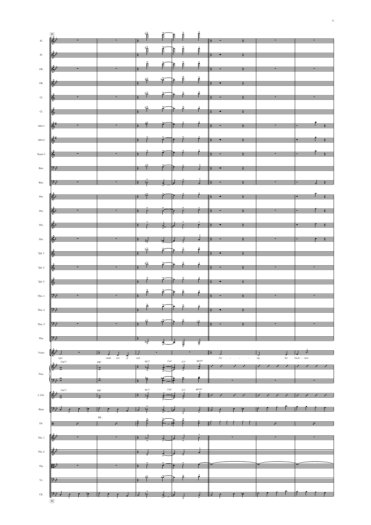|                             |                                                                                                                                                                                                                                                                                                                                                                                                                                                                                                |                           | $\frac{1}{2}$             |                 |                                       |                                                                                                                                                                                                                                                                                                                                                                    |                 |
|-----------------------------|------------------------------------------------------------------------------------------------------------------------------------------------------------------------------------------------------------------------------------------------------------------------------------------------------------------------------------------------------------------------------------------------------------------------------------------------------------------------------------------------|---------------------------|---------------------------|-----------------|---------------------------------------|--------------------------------------------------------------------------------------------------------------------------------------------------------------------------------------------------------------------------------------------------------------------------------------------------------------------------------------------------------------------|-----------------|
| $\mathop{\rm Fl}\nolimits.$ |                                                                                                                                                                                                                                                                                                                                                                                                                                                                                                |                           |                           |                 |                                       |                                                                                                                                                                                                                                                                                                                                                                    |                 |
|                             |                                                                                                                                                                                                                                                                                                                                                                                                                                                                                                | $\overline{\phantom{a}}$  |                           |                 |                                       | $\begin{picture}(180,10) \put(0,0){\vector(1,0){100}} \put(10,0){\vector(1,0){100}} \put(10,0){\vector(1,0){100}} \put(10,0){\vector(1,0){100}} \put(10,0){\vector(1,0){100}} \put(10,0){\vector(1,0){100}} \put(10,0){\vector(1,0){100}} \put(10,0){\vector(1,0){100}} \put(10,0){\vector(1,0){100}} \put(10,0){\vector(1,0){100}} \put(10,0){\vector(1,0){100}}$ |                 |
| $_{\rm Fl.}$                |                                                                                                                                                                                                                                                                                                                                                                                                                                                                                                |                           |                           |                 |                                       |                                                                                                                                                                                                                                                                                                                                                                    |                 |
|                             |                                                                                                                                                                                                                                                                                                                                                                                                                                                                                                |                           |                           |                 |                                       |                                                                                                                                                                                                                                                                                                                                                                    |                 |
| Ob.                         |                                                                                                                                                                                                                                                                                                                                                                                                                                                                                                |                           |                           |                 |                                       |                                                                                                                                                                                                                                                                                                                                                                    |                 |
| Ob.                         | $\begin{array}{ c c c c c c c c c } \hline \rule{0mm}{3mm} & \frac{1}{2} & \frac{1}{2} & \frac{1}{2} & \frac{1}{2} & \frac{1}{2} \\ \hline \rule{0mm}{3mm} & \frac{1}{2} & \frac{1}{2} & \frac{1}{2} & \frac{1}{2} & \frac{1}{2} & \frac{1}{2} & \frac{1}{2} & \frac{1}{2} & \frac{1}{2} \\ \hline \rule{0mm}{3mm} & \frac{1}{2} & \frac{1}{2} & \frac{1}{2} & \frac{1}{2} & \frac{1}{2} & \frac{1$                                                                                            |                           |                           |                 |                                       |                                                                                                                                                                                                                                                                                                                                                                    |                 |
|                             |                                                                                                                                                                                                                                                                                                                                                                                                                                                                                                |                           |                           |                 |                                       |                                                                                                                                                                                                                                                                                                                                                                    |                 |
| CL                          |                                                                                                                                                                                                                                                                                                                                                                                                                                                                                                |                           |                           |                 |                                       |                                                                                                                                                                                                                                                                                                                                                                    |                 |
|                             |                                                                                                                                                                                                                                                                                                                                                                                                                                                                                                |                           |                           |                 |                                       |                                                                                                                                                                                                                                                                                                                                                                    |                 |
| $\mathop{\hbox{\rm Cl.}}$   | $\frac{1}{2}$ $\frac{1}{2}$ $\frac{1}{2}$ $\frac{1}{2}$ $\frac{1}{2}$ $\frac{1}{2}$ $\frac{1}{2}$ $\frac{1}{2}$ $\frac{1}{2}$ $\frac{1}{2}$ $\frac{1}{2}$ $\frac{1}{2}$ $\frac{1}{2}$ $\frac{1}{2}$ $\frac{1}{2}$ $\frac{1}{2}$ $\frac{1}{2}$ $\frac{1}{2}$ $\frac{1}{2}$ $\frac{1}{2}$ $\frac{1}{2}$ $\frac{1}{2}$                                                                                                                                                                            |                           |                           |                 |                                       |                                                                                                                                                                                                                                                                                                                                                                    |                 |
|                             |                                                                                                                                                                                                                                                                                                                                                                                                                                                                                                |                           |                           |                 |                                       |                                                                                                                                                                                                                                                                                                                                                                    |                 |
|                             | Alto 1 $\begin{array}{ccc} \end{array}$ $\begin{array}{ccc} \end{array}$ $\begin{array}{ccc} \end{array}$ $\begin{array}{ccc} \end{array}$ $\begin{array}{ccc} \end{array}$ $\begin{array}{ccc} \end{array}$ $\begin{array}{ccc} \end{array}$ $\begin{array}{ccc} \end{array}$ $\begin{array}{ccc} \end{array}$ $\begin{array}{ccc} \end{array}$ $\begin{array}{ccc} \end{array}$ $\begin{array}{ccc} \end{array}$ $\begin{array}{ccc} \end{array}$ $\begin{array}{ccc} \end{array}$ $\begin{$ |                           |                           |                 |                                       |                                                                                                                                                                                                                                                                                                                                                                    |                 |
|                             |                                                                                                                                                                                                                                                                                                                                                                                                                                                                                                |                           |                           |                 |                                       |                                                                                                                                                                                                                                                                                                                                                                    |                 |
|                             | Alto 2 $\left \frac{2i}{\sqrt{2}}\right $ and $\left \frac{2i}{\sqrt{2}}\right $ and $\left \frac{2i}{\sqrt{2}}\right $ and $\left \frac{2i}{\sqrt{2}}\right $ and $\left \frac{2i}{\sqrt{2}}\right $ and $\left \frac{2i}{\sqrt{2}}\right $ and $\left \frac{2i}{\sqrt{2}}\right $ and $\left \frac{2i}{\sqrt{2}}\right $ and $\left \frac{2i}{\sqrt{2}}\right $ and $\left \frac{2$                                                                                                          |                           |                           |                 |                                       |                                                                                                                                                                                                                                                                                                                                                                    |                 |
|                             |                                                                                                                                                                                                                                                                                                                                                                                                                                                                                                |                           |                           |                 |                                       |                                                                                                                                                                                                                                                                                                                                                                    |                 |
| $\mbox{Tensor}$ 1           |                                                                                                                                                                                                                                                                                                                                                                                                                                                                                                |                           |                           |                 |                                       |                                                                                                                                                                                                                                                                                                                                                                    |                 |
|                             |                                                                                                                                                                                                                                                                                                                                                                                                                                                                                                |                           |                           |                 |                                       |                                                                                                                                                                                                                                                                                                                                                                    |                 |
| Bsn.                        | $\frac{1}{2}$ $\frac{1}{2}$ $\frac{1}{2}$ $\frac{1}{2}$ $\frac{1}{2}$ $\frac{1}{2}$ $\frac{1}{2}$ $\frac{1}{2}$ $\frac{1}{2}$ $\frac{1}{2}$ $\frac{1}{2}$ $\frac{1}{2}$ $\frac{1}{2}$ $\frac{1}{2}$ $\frac{1}{2}$ $\frac{1}{2}$ $\frac{1}{2}$ $\frac{1}{2}$ $\frac{1}{2}$ $\frac{1}{2}$ $\frac{1}{2}$ $\frac{1}{2}$                                                                                                                                                                            |                           |                           |                 |                                       |                                                                                                                                                                                                                                                                                                                                                                    |                 |
|                             |                                                                                                                                                                                                                                                                                                                                                                                                                                                                                                |                           |                           |                 |                                       |                                                                                                                                                                                                                                                                                                                                                                    |                 |
| Bsn.                        | $\frac{1}{2}$                                                                                                                                                                                                                                                                                                                                                                                                                                                                                  |                           |                           |                 |                                       |                                                                                                                                                                                                                                                                                                                                                                    |                 |
|                             |                                                                                                                                                                                                                                                                                                                                                                                                                                                                                                |                           |                           |                 |                                       |                                                                                                                                                                                                                                                                                                                                                                    |                 |
| $\operatorname{Hn.}$        | $\frac{1}{16}$                                                                                                                                                                                                                                                                                                                                                                                                                                                                                 |                           |                           |                 |                                       |                                                                                                                                                                                                                                                                                                                                                                    |                 |
|                             |                                                                                                                                                                                                                                                                                                                                                                                                                                                                                                |                           |                           |                 |                                       |                                                                                                                                                                                                                                                                                                                                                                    |                 |
| $Hn$ .                      |                                                                                                                                                                                                                                                                                                                                                                                                                                                                                                |                           |                           |                 |                                       |                                                                                                                                                                                                                                                                                                                                                                    |                 |
|                             |                                                                                                                                                                                                                                                                                                                                                                                                                                                                                                |                           |                           |                 |                                       |                                                                                                                                                                                                                                                                                                                                                                    |                 |
| $Hn$ .                      |                                                                                                                                                                                                                                                                                                                                                                                                                                                                                                |                           |                           |                 |                                       |                                                                                                                                                                                                                                                                                                                                                                    |                 |
|                             |                                                                                                                                                                                                                                                                                                                                                                                                                                                                                                |                           |                           |                 |                                       |                                                                                                                                                                                                                                                                                                                                                                    |                 |
| Hn.                         |                                                                                                                                                                                                                                                                                                                                                                                                                                                                                                |                           |                           |                 |                                       |                                                                                                                                                                                                                                                                                                                                                                    |                 |
|                             |                                                                                                                                                                                                                                                                                                                                                                                                                                                                                                |                           |                           |                 |                                       |                                                                                                                                                                                                                                                                                                                                                                    |                 |
| Tpt. 1                      |                                                                                                                                                                                                                                                                                                                                                                                                                                                                                                |                           |                           |                 |                                       |                                                                                                                                                                                                                                                                                                                                                                    |                 |
|                             |                                                                                                                                                                                                                                                                                                                                                                                                                                                                                                |                           |                           |                 |                                       |                                                                                                                                                                                                                                                                                                                                                                    |                 |
| Tpt. 2                      |                                                                                                                                                                                                                                                                                                                                                                                                                                                                                                |                           |                           |                 |                                       |                                                                                                                                                                                                                                                                                                                                                                    |                 |
|                             |                                                                                                                                                                                                                                                                                                                                                                                                                                                                                                |                           |                           |                 |                                       |                                                                                                                                                                                                                                                                                                                                                                    |                 |
| Tpt. 3                      |                                                                                                                                                                                                                                                                                                                                                                                                                                                                                                |                           |                           |                 |                                       |                                                                                                                                                                                                                                                                                                                                                                    |                 |
| Tbn. 1                      |                                                                                                                                                                                                                                                                                                                                                                                                                                                                                                |                           |                           |                 |                                       |                                                                                                                                                                                                                                                                                                                                                                    |                 |
|                             |                                                                                                                                                                                                                                                                                                                                                                                                                                                                                                |                           |                           |                 |                                       |                                                                                                                                                                                                                                                                                                                                                                    |                 |
| Tbn. 2                      |                                                                                                                                                                                                                                                                                                                                                                                                                                                                                                |                           |                           |                 |                                       |                                                                                                                                                                                                                                                                                                                                                                    |                 |
|                             |                                                                                                                                                                                                                                                                                                                                                                                                                                                                                                |                           |                           |                 |                                       |                                                                                                                                                                                                                                                                                                                                                                    |                 |
| Tbn. 3                      |                                                                                                                                                                                                                                                                                                                                                                                                                                                                                                |                           |                           |                 |                                       |                                                                                                                                                                                                                                                                                                                                                                    |                 |
|                             |                                                                                                                                                                                                                                                                                                                                                                                                                                                                                                |                           |                           |                 |                                       |                                                                                                                                                                                                                                                                                                                                                                    |                 |
| Tba.                        |                                                                                                                                                                                                                                                                                                                                                                                                                                                                                                |                           |                           |                 |                                       |                                                                                                                                                                                                                                                                                                                                                                    |                 |
|                             |                                                                                                                                                                                                                                                                                                                                                                                                                                                                                                |                           | ण्ड                       |                 | ⊫                                     |                                                                                                                                                                                                                                                                                                                                                                    |                 |
| Voice                       |                                                                                                                                                                                                                                                                                                                                                                                                                                                                                                |                           |                           |                 |                                       |                                                                                                                                                                                                                                                                                                                                                                    |                 |
|                             | eyes<br>$\mathrm{Cm}^{\gamma}$                                                                                                                                                                                                                                                                                                                                                                                                                                                                 | made<br>out<br>of<br>F6/9 | coal<br>Db <sup>7</sup> / | Cm <sup>9</sup> | $B^{b}$ maj <sup>7</sup><br>$F^{7/9}$ | Fro                                                                                                                                                                                                                                                                                                                                                                | Snow<br>$-$ mer |
|                             |                                                                                                                                                                                                                                                                                                                                                                                                                                                                                                |                           |                           |                 |                                       |                                                                                                                                                                                                                                                                                                                                                                    |                 |
| Pno.                        |                                                                                                                                                                                                                                                                                                                                                                                                                                                                                                |                           |                           |                 |                                       |                                                                                                                                                                                                                                                                                                                                                                    |                 |
|                             |                                                                                                                                                                                                                                                                                                                                                                                                                                                                                                |                           |                           |                 |                                       |                                                                                                                                                                                                                                                                                                                                                                    |                 |
|                             | $\text{Cm}^{\gamma/9}$                                                                                                                                                                                                                                                                                                                                                                                                                                                                         | F6/9                      | Db <sup>7</sup> /         |                 | B <sub>b</sub> maj <sub>7</sub>       |                                                                                                                                                                                                                                                                                                                                                                    |                 |